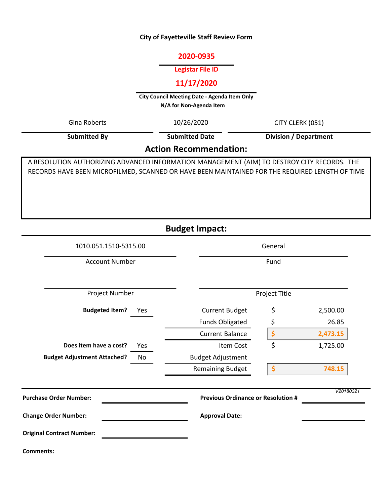#### City of Fayetteville Staff Review Form

#### 2020-0935

#### Legistar File ID

# 11/17/2020

City Council Meeting Date - Agenda Item Only N/A for Non-Agenda Item

Gina Roberts 10/26/2020 CITY CLERK (051)

Submitted By

10/26/2020 Submitted Date

Division / Department

# Action Recommendation:

A RESOLUTION AUTHORIZING ADVANCED INFORMATION MANAGEMENT (AIM) TO DESTROY CITY RECORDS. THE RECORDS HAVE BEEN MICROFILMED, SCANNED OR HAVE BEEN MAINTAINED FOR THE REQUIRED LENGTH OF TIME

Budget Impact:

| 1010.051.1510-5315.00                    | General                                   |               |           |
|------------------------------------------|-------------------------------------------|---------------|-----------|
| <b>Account Number</b>                    | Fund                                      |               |           |
| Project Number                           |                                           | Project Title |           |
| <b>Budgeted Item?</b><br>Yes             | <b>Current Budget</b>                     | \$            | 2,500.00  |
|                                          | <b>Funds Obligated</b>                    | \$            | 26.85     |
|                                          | <b>Current Balance</b>                    | \$            | 2,473.15  |
| Does item have a cost?<br>Yes            | Item Cost                                 | \$            | 1,725.00  |
| <b>Budget Adjustment Attached?</b><br>No | <b>Budget Adjustment</b>                  |               |           |
|                                          | <b>Remaining Budget</b>                   | \$            | 748.15    |
| <b>Purchase Order Number:</b>            | <b>Previous Ordinance or Resolution #</b> |               | V20180321 |
|                                          |                                           |               |           |
| <b>Change Order Number:</b>              | <b>Approval Date:</b>                     |               |           |
| <b>Original Contract Number:</b>         |                                           |               |           |
| Comments:                                |                                           |               |           |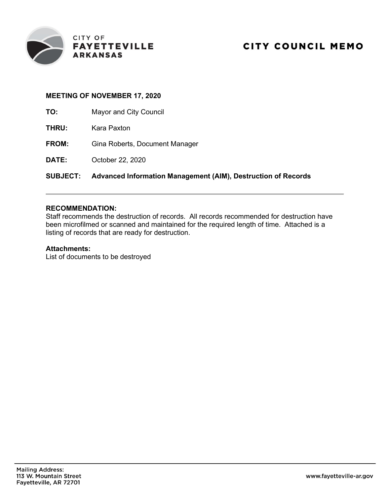

### MEETING OF NOVEMBER 17, 2020

- TO: Mayor and City Council
- THRU: Kara Paxton
- FROM: Gina Roberts, Document Manager
- DATE: October 22, 2020

# SUBJECT: Advanced Information Management (AIM), Destruction of Records

## RECOMMENDATION:

Staff recommends the destruction of records. All records recommended for destruction have been microfilmed or scanned and maintained for the required length of time. Attached is a listing of records that are ready for destruction.

### Attachments:

List of documents to be destroyed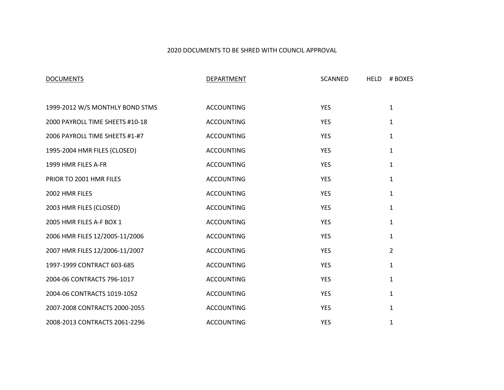### **AFFIDAVIT OF DESTRUCTION OF CITY OF FAYETTEVILLE RECORDS**

**STATE OF ARKANSAS )** ) SS: **COUNTY OF WASHINGTON )** 

I, Gina Roberts, Document Manager for the City of Fayetteville, do hereby certify that the records listed as Exhibit "A" have been retained for the required number of years. I further certify the following:

- 1. That the documents listed in Exhibit "A" attached hereto and made a part hereof are being destroyed by the City of Fayetteville as authorized by Fayetteville City Council Resolution No. adopted on the  $\_\_\_$  day of  $\_\_\_\_\_\_\_\$ .
- 2. These records have been maintained according to State statute and the Retention Schedule for the City of Fayetteville.
- 3. The method of destroying said documents was shredding.

Gina Roberts, Document Manger

\_\_\_\_\_\_\_\_\_\_\_\_\_\_\_\_\_\_\_\_\_\_\_\_\_\_\_\_\_\_\_\_

\_\_\_\_\_\_\_\_\_\_\_\_\_\_\_\_\_\_\_\_\_\_\_\_\_\_\_\_\_\_\_\_

\_\_\_\_\_\_\_\_\_\_\_\_\_\_\_\_\_\_\_\_\_\_\_\_\_\_\_\_\_\_\_ City Council Member, Witness

Subscribed and Sworn to me, a Notary Public, this \_\_\_\_\_ day of \_\_\_\_\_\_\_\_\_\_\_\_\_\_\_\_\_, \_\_\_\_\_\_\_\_\_\_\_.

Notary Public

My Commission Expires: \_\_\_\_\_\_\_\_\_\_\_\_\_\_\_\_\_\_\_\_\_

SEAL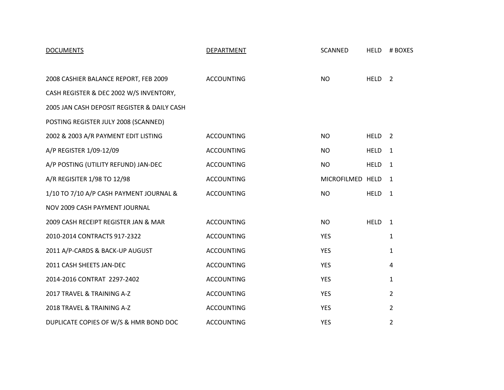### 2020 DOCUMENTS TO BE SHRED WITH COUNCIL APPROVAL

| <b>DOCUMENTS</b>                | <b>DEPARTMENT</b> | <b>SCANNED</b> | <b>HELD</b> | # BOXES        |
|---------------------------------|-------------------|----------------|-------------|----------------|
|                                 |                   |                |             |                |
| 1999-2012 W/S MONTHLY BOND STMS | <b>ACCOUNTING</b> | <b>YES</b>     |             | $\mathbf{1}$   |
| 2000 PAYROLL TIME SHEETS #10-18 | <b>ACCOUNTING</b> | <b>YES</b>     |             | $\mathbf{1}$   |
| 2006 PAYROLL TIME SHEETS #1-#7  | <b>ACCOUNTING</b> | <b>YES</b>     |             | $\mathbf{1}$   |
| 1995-2004 HMR FILES (CLOSED)    | <b>ACCOUNTING</b> | <b>YES</b>     |             | $\mathbf{1}$   |
| 1999 HMR FILES A-FR             | <b>ACCOUNTING</b> | <b>YES</b>     |             | $\mathbf 1$    |
| PRIOR TO 2001 HMR FILES         | <b>ACCOUNTING</b> | <b>YES</b>     |             | $\mathbf{1}$   |
| 2002 HMR FILES                  | <b>ACCOUNTING</b> | <b>YES</b>     |             | $\mathbf{1}$   |
| 2003 HMR FILES (CLOSED)         | <b>ACCOUNTING</b> | <b>YES</b>     |             | $\mathbf{1}$   |
| 2005 HMR FILES A-F BOX 1        | <b>ACCOUNTING</b> | <b>YES</b>     |             | $\mathbf{1}$   |
| 2006 HMR FILES 12/2005-11/2006  | <b>ACCOUNTING</b> | <b>YES</b>     |             | 1              |
| 2007 HMR FILES 12/2006-11/2007  | <b>ACCOUNTING</b> | <b>YES</b>     |             | $\overline{2}$ |
| 1997-1999 CONTRACT 603-685      | <b>ACCOUNTING</b> | <b>YES</b>     |             | $\mathbf{1}$   |
| 2004-06 CONTRACTS 796-1017      | <b>ACCOUNTING</b> | <b>YES</b>     |             | $\mathbf{1}$   |
| 2004-06 CONTRACTS 1019-1052     | <b>ACCOUNTING</b> | <b>YES</b>     |             | $\mathbf{1}$   |
| 2007-2008 CONTRACTS 2000-2055   | <b>ACCOUNTING</b> | <b>YES</b>     |             | $\mathbf{1}$   |
| 2008-2013 CONTRACTS 2061-2296   | <b>ACCOUNTING</b> | <b>YES</b>     |             | $\mathbf{1}$   |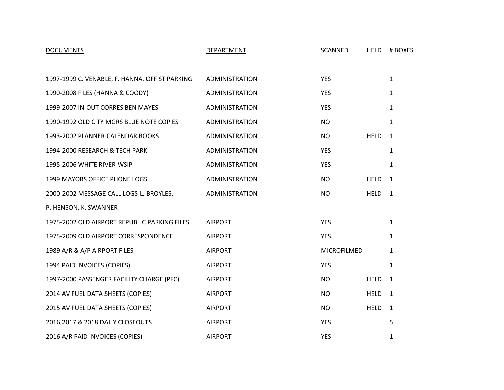| <b>DOCUMENTS</b>                            | DEPARTMENT        | <b>SCANNED</b>   | <b>HELD</b>       | # BOXES        |
|---------------------------------------------|-------------------|------------------|-------------------|----------------|
|                                             |                   |                  |                   |                |
| 2008 CASHIER BALANCE REPORT, FEB 2009       | <b>ACCOUNTING</b> | <b>NO</b>        | HELD <sub>2</sub> |                |
| CASH REGISTER & DEC 2002 W/S INVENTORY,     |                   |                  |                   |                |
| 2005 JAN CASH DEPOSIT REGISTER & DAILY CASH |                   |                  |                   |                |
| POSTING REGISTER JULY 2008 (SCANNED)        |                   |                  |                   |                |
| 2002 & 2003 A/R PAYMENT EDIT LISTING        | <b>ACCOUNTING</b> | <b>NO</b>        | <b>HELD</b>       | $\overline{2}$ |
| A/P REGISTER 1/09-12/09                     | <b>ACCOUNTING</b> | NO               | <b>HELD</b>       | $\mathbf{1}$   |
| A/P POSTING (UTILITY REFUND) JAN-DEC        | <b>ACCOUNTING</b> | <b>NO</b>        | <b>HELD</b>       | 1              |
| A/R REGISITER 1/98 TO 12/98                 | <b>ACCOUNTING</b> | MICROFILMED HELD |                   | 1              |
| 1/10 TO 7/10 A/P CASH PAYMENT JOURNAL &     | <b>ACCOUNTING</b> | <b>NO</b>        | <b>HELD</b>       | 1              |
| NOV 2009 CASH PAYMENT JOURNAL               |                   |                  |                   |                |
| 2009 CASH RECEIPT REGISTER JAN & MAR        | <b>ACCOUNTING</b> | <b>NO</b>        | <b>HELD</b>       | 1              |
| 2010-2014 CONTRACTS 917-2322                | <b>ACCOUNTING</b> | <b>YES</b>       |                   | $\mathbf{1}$   |
| 2011 A/P-CARDS & BACK-UP AUGUST             | <b>ACCOUNTING</b> | <b>YES</b>       |                   | $\mathbf{1}$   |
| 2011 CASH SHEETS JAN-DEC                    | <b>ACCOUNTING</b> | <b>YES</b>       |                   | 4              |
| 2014-2016 CONTRAT 2297-2402                 | <b>ACCOUNTING</b> | <b>YES</b>       |                   | $\mathbf{1}$   |
| 2017 TRAVEL & TRAINING A-Z                  | <b>ACCOUNTING</b> | <b>YES</b>       |                   | $\overline{2}$ |
| 2018 TRAVEL & TRAINING A-Z                  | <b>ACCOUNTING</b> | <b>YES</b>       |                   | $\overline{2}$ |
| DUPLICATE COPIES OF W/S & HMR BOND DOC      | <b>ACCOUNTING</b> | <b>YES</b>       |                   | $\overline{2}$ |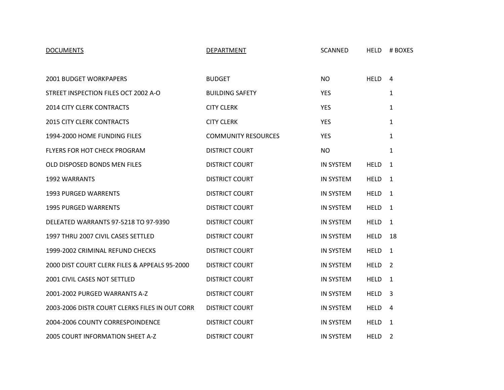| <b>DOCUMENTS</b>                               | <b>DEPARTMENT</b>     | SCANNED     | <b>HELD</b> | # BOXES      |
|------------------------------------------------|-----------------------|-------------|-------------|--------------|
|                                                |                       |             |             |              |
| 1997-1999 C. VENABLE, F. HANNA, OFF ST PARKING | <b>ADMINISTRATION</b> | <b>YES</b>  |             | $\mathbf{1}$ |
| 1990-2008 FILES (HANNA & COODY)                | <b>ADMINISTRATION</b> | <b>YES</b>  |             | $\mathbf{1}$ |
| 1999-2007 IN-OUT CORRES BEN MAYES              | <b>ADMINISTRATION</b> | <b>YES</b>  |             | $\mathbf{1}$ |
| 1990-1992 OLD CITY MGRS BLUE NOTE COPIES       | ADMINISTRATION        | <b>NO</b>   |             | $\mathbf{1}$ |
| 1993-2002 PLANNER CALENDAR BOOKS               | <b>ADMINISTRATION</b> | <b>NO</b>   | <b>HELD</b> | $\mathbf{1}$ |
| 1994-2000 RESEARCH & TECH PARK                 | <b>ADMINISTRATION</b> | <b>YES</b>  |             | 1            |
| 1995-2006 WHITE RIVER-WSIP                     | <b>ADMINISTRATION</b> | <b>YES</b>  |             | $\mathbf{1}$ |
| 1999 MAYORS OFFICE PHONE LOGS                  | ADMINISTRATION        | <b>NO</b>   | <b>HELD</b> | $\mathbf{1}$ |
| 2000-2002 MESSAGE CALL LOGS-L. BROYLES,        | <b>ADMINISTRATION</b> | <b>NO</b>   | <b>HELD</b> | $\mathbf{1}$ |
| P. HENSON, K. SWANNER                          |                       |             |             |              |
| 1975-2002 OLD AIRPORT REPUBLIC PARKING FILES   | <b>AIRPORT</b>        | <b>YES</b>  |             | $\mathbf{1}$ |
| 1975-2009 OLD AIRPORT CORRESPONDENCE           | <b>AIRPORT</b>        | YES         |             | $\mathbf{1}$ |
| 1989 A/R & A/P AIRPORT FILES                   | <b>AIRPORT</b>        | MICROFILMED |             | $\mathbf{1}$ |
| 1994 PAID INVOICES (COPIES)                    | <b>AIRPORT</b>        | <b>YES</b>  |             | 1            |
| 1997-2000 PASSENGER FACILITY CHARGE (PFC)      | <b>AIRPORT</b>        | <b>NO</b>   | <b>HELD</b> | 1            |
| 2014 AV FUEL DATA SHEETS (COPIES)              | <b>AIRPORT</b>        | <b>NO</b>   | <b>HELD</b> | 1            |
| 2015 AV FUEL DATA SHEETS (COPIES)              | <b>AIRPORT</b>        | <b>NO</b>   | <b>HELD</b> | $\mathbf{1}$ |
| 2016,2017 & 2018 DAILY CLOSEOUTS               | <b>AIRPORT</b>        | <b>YES</b>  |             | 5            |
| 2016 A/R PAID INVOICES (COPIES)                | <b>AIRPORT</b>        | <b>YES</b>  |             | 1            |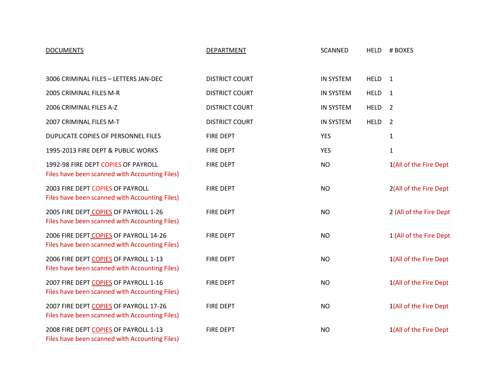| <b>DOCUMENTS</b>                               | DEPARTMENT                 | <b>SCANNED</b>   | <b>HELD</b> | # BOXES        |
|------------------------------------------------|----------------------------|------------------|-------------|----------------|
|                                                |                            |                  |             |                |
| 2001 BUDGET WORKPAPERS                         | <b>BUDGET</b>              | <b>NO</b>        | <b>HELD</b> | $\overline{4}$ |
| STREET INSPECTION FILES OCT 2002 A-O           | <b>BUILDING SAFETY</b>     | <b>YES</b>       |             | $\mathbf{1}$   |
| <b>2014 CITY CLERK CONTRACTS</b>               | <b>CITY CLERK</b>          | <b>YES</b>       |             | 1              |
| <b>2015 CITY CLERK CONTRACTS</b>               | <b>CITY CLERK</b>          | <b>YES</b>       |             | $\mathbf{1}$   |
| 1994-2000 HOME FUNDING FILES                   | <b>COMMUNITY RESOURCES</b> | <b>YES</b>       |             | 1              |
| FLYERS FOR HOT CHECK PROGRAM                   | <b>DISTRICT COURT</b>      | <b>NO</b>        |             | $\mathbf{1}$   |
| OLD DISPOSED BONDS MEN FILES                   | <b>DISTRICT COURT</b>      | <b>IN SYSTEM</b> | <b>HELD</b> | 1              |
| <b>1992 WARRANTS</b>                           | <b>DISTRICT COURT</b>      | <b>IN SYSTEM</b> | <b>HELD</b> | $\mathbf{1}$   |
| <b>1993 PURGED WARRENTS</b>                    | <b>DISTRICT COURT</b>      | <b>IN SYSTEM</b> | <b>HELD</b> | 1              |
| <b>1995 PURGED WARRENTS</b>                    | <b>DISTRICT COURT</b>      | <b>IN SYSTEM</b> | <b>HELD</b> | $\mathbf{1}$   |
| DELEATED WARRANTS 97-5218 TO 97-9390           | <b>DISTRICT COURT</b>      | <b>IN SYSTEM</b> | <b>HELD</b> | $\mathbf{1}$   |
| 1997 THRU 2007 CIVIL CASES SETTLED             | <b>DISTRICT COURT</b>      | <b>IN SYSTEM</b> | <b>HELD</b> | 18             |
| 1999-2002 CRIMINAL REFUND CHECKS               | <b>DISTRICT COURT</b>      | <b>IN SYSTEM</b> | <b>HELD</b> | 1              |
| 2000 DIST COURT CLERK FILES & APPEALS 95-2000  | <b>DISTRICT COURT</b>      | <b>IN SYSTEM</b> | <b>HELD</b> | 2              |
| 2001 CIVIL CASES NOT SETTLED                   | <b>DISTRICT COURT</b>      | <b>IN SYSTEM</b> | <b>HELD</b> | 1              |
| 2001-2002 PURGED WARRANTS A-Z                  | <b>DISTRICT COURT</b>      | <b>IN SYSTEM</b> | <b>HELD</b> | 3              |
| 2003-2006 DISTR COURT CLERKS FILES IN OUT CORR | <b>DISTRICT COURT</b>      | <b>IN SYSTEM</b> | <b>HELD</b> | 4              |
| 2004-2006 COUNTY CORRESPOINDENCE               | <b>DISTRICT COURT</b>      | <b>IN SYSTEM</b> | <b>HELD</b> | 1              |
| 2005 COURT INFORMATION SHEET A-Z               | <b>DISTRICT COURT</b>      | <b>IN SYSTEM</b> | <b>HELD</b> | $\overline{2}$ |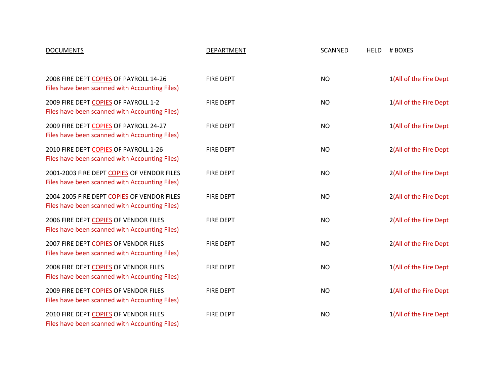| <b>DOCUMENTS</b>                                                                         | DEPARTMENT            | <b>SCANNED</b>   | <b>HELD</b> | # BOXES                 |
|------------------------------------------------------------------------------------------|-----------------------|------------------|-------------|-------------------------|
|                                                                                          |                       |                  |             |                         |
| 3006 CRIMINAL FILES - LETTERS JAN-DEC                                                    | <b>DISTRICT COURT</b> | <b>IN SYSTEM</b> | <b>HELD</b> | $\overline{1}$          |
| 2005 CRIMINAL FILES M-R                                                                  | <b>DISTRICT COURT</b> | <b>IN SYSTEM</b> | <b>HELD</b> | $\mathbf{1}$            |
| 2006 CRIMINAL FILES A-Z                                                                  | <b>DISTRICT COURT</b> | <b>IN SYSTEM</b> | <b>HELD</b> | 2                       |
| 2007 CRIMINAL FILES M-T                                                                  | <b>DISTRICT COURT</b> | <b>IN SYSTEM</b> | <b>HELD</b> | $\overline{2}$          |
| DUPLICATE COPIES OF PERSONNEL FILES                                                      | <b>FIRE DEPT</b>      | <b>YES</b>       |             | 1                       |
| 1995-2013 FIRE DEPT & PUBLIC WORKS                                                       | <b>FIRE DEPT</b>      | <b>YES</b>       |             | $\mathbf{1}$            |
| 1992-98 FIRE DEPT COPIES OF PAYROLL<br>Files have been scanned with Accounting Files)    | <b>FIRE DEPT</b>      | <b>NO</b>        |             | 1(All of the Fire Dept  |
| 2003 FIRE DEPT COPIES OF PAYROLL<br>Files have been scanned with Accounting Files)       | <b>FIRE DEPT</b>      | <b>NO</b>        |             | 2(All of the Fire Dept  |
| 2005 FIRE DEPT COPIES OF PAYROLL 1-26<br>Files have been scanned with Accounting Files)  | <b>FIRE DEPT</b>      | <b>NO</b>        |             | 2 (All of the Fire Dept |
| 2006 FIRE DEPT COPIES OF PAYROLL 14-26<br>Files have been scanned with Accounting Files) | <b>FIRE DEPT</b>      | <b>NO</b>        |             | 1 (All of the Fire Dept |
| 2006 FIRE DEPT COPIES OF PAYROLL 1-13<br>Files have been scanned with Accounting Files)  | <b>FIRE DEPT</b>      | <b>NO</b>        |             | 1(All of the Fire Dept  |
| 2007 FIRE DEPT COPIES OF PAYROLL 1-16<br>Files have been scanned with Accounting Files)  | <b>FIRE DEPT</b>      | <b>NO</b>        |             | 1(All of the Fire Dept  |
| 2007 FIRE DEPT COPIES OF PAYROLL 17-26<br>Files have been scanned with Accounting Files) | <b>FIRE DEPT</b>      | <b>NO</b>        |             | 1(All of the Fire Dept  |
| 2008 FIRE DEPT COPIES OF PAYROLL 1-13<br>Files have been scanned with Accounting Files)  | <b>FIRE DEPT</b>      | <b>NO</b>        |             | 1(All of the Fire Dept  |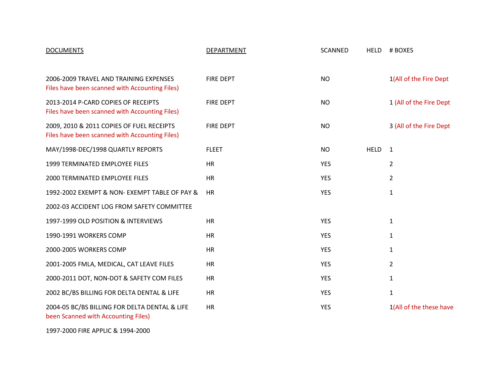| <b>DOCUMENTS</b>                                                                             | DEPARTMENT       | <b>SCANNED</b> | <b>HELD</b> | # BOXES                |
|----------------------------------------------------------------------------------------------|------------------|----------------|-------------|------------------------|
|                                                                                              |                  |                |             |                        |
| 2008 FIRE DEPT COPIES OF PAYROLL 14-26<br>Files have been scanned with Accounting Files)     | <b>FIRE DEPT</b> | <b>NO</b>      |             | 1(All of the Fire Dept |
| 2009 FIRE DEPT COPIES OF PAYROLL 1-2<br>Files have been scanned with Accounting Files)       | <b>FIRE DEPT</b> | <b>NO</b>      |             | 1(All of the Fire Dept |
| 2009 FIRE DEPT COPIES OF PAYROLL 24-27<br>Files have been scanned with Accounting Files)     | <b>FIRE DEPT</b> | <b>NO</b>      |             | 1(All of the Fire Dept |
| 2010 FIRE DEPT COPIES OF PAYROLL 1-26<br>Files have been scanned with Accounting Files)      | <b>FIRE DEPT</b> | <b>NO</b>      |             | 2(All of the Fire Dept |
| 2001-2003 FIRE DEPT COPIES OF VENDOR FILES<br>Files have been scanned with Accounting Files) | <b>FIRE DEPT</b> | <b>NO</b>      |             | 2(All of the Fire Dept |
| 2004-2005 FIRE DEPT COPIES OF VENDOR FILES<br>Files have been scanned with Accounting Files) | <b>FIRE DEPT</b> | <b>NO</b>      |             | 2(All of the Fire Dept |
| 2006 FIRE DEPT COPIES OF VENDOR FILES<br>Files have been scanned with Accounting Files)      | <b>FIRE DEPT</b> | <b>NO</b>      |             | 2(All of the Fire Dept |
| 2007 FIRE DEPT COPIES OF VENDOR FILES<br>Files have been scanned with Accounting Files)      | <b>FIRE DEPT</b> | <b>NO</b>      |             | 2(All of the Fire Dept |
| 2008 FIRE DEPT COPIES OF VENDOR FILES<br>Files have been scanned with Accounting Files)      | <b>FIRE DEPT</b> | <b>NO</b>      |             | 1(All of the Fire Dept |
| 2009 FIRE DEPT COPIES OF VENDOR FILES<br>Files have been scanned with Accounting Files)      | <b>FIRE DEPT</b> | <b>NO</b>      |             | 1(All of the Fire Dept |
| 2010 FIRE DEPT COPIES OF VENDOR FILES<br>Files have been scanned with Accounting Files)      | <b>FIRE DEPT</b> | <b>NO</b>      |             | 1(All of the Fire Dept |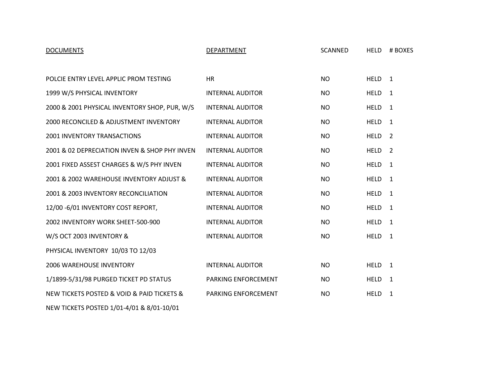| <b>DOCUMENTS</b>                                                                            | DEPARTMENT       | <b>SCANNED</b> | <b>HELD</b> | # BOXES                 |
|---------------------------------------------------------------------------------------------|------------------|----------------|-------------|-------------------------|
|                                                                                             |                  |                |             |                         |
| 2006-2009 TRAVEL AND TRAINING EXPENSES<br>Files have been scanned with Accounting Files)    | <b>FIRE DEPT</b> | <b>NO</b>      |             | 1(All of the Fire Dept  |
| 2013-2014 P-CARD COPIES OF RECEIPTS<br>Files have been scanned with Accounting Files)       | <b>FIRE DEPT</b> | <b>NO</b>      |             | 1 (All of the Fire Dept |
| 2009, 2010 & 2011 COPIES OF FUEL RECEIPTS<br>Files have been scanned with Accounting Files) | <b>FIRE DEPT</b> | <b>NO</b>      |             | 3 (All of the Fire Dept |
| MAY/1998-DEC/1998 QUARTLY REPORTS                                                           | <b>FLEET</b>     | <b>NO</b>      | <b>HELD</b> | $\mathbf{1}$            |
| 1999 TERMINATED EMPLOYEE FILES                                                              | <b>HR</b>        | <b>YES</b>     |             | $\overline{2}$          |
| 2000 TERMINATED EMPLOYEE FILES                                                              | <b>HR</b>        | <b>YES</b>     |             | $\overline{2}$          |
| 1992-2002 EXEMPT & NON- EXEMPT TABLE OF PAY &                                               | <b>HR</b>        | <b>YES</b>     |             | $\mathbf{1}$            |
| 2002-03 ACCIDENT LOG FROM SAFETY COMMITTEE                                                  |                  |                |             |                         |
| 1997-1999 OLD POSITION & INTERVIEWS                                                         | <b>HR</b>        | <b>YES</b>     |             | $\mathbf{1}$            |
| 1990-1991 WORKERS COMP                                                                      | <b>HR</b>        | <b>YES</b>     |             | 1                       |
| 2000-2005 WORKERS COMP                                                                      | <b>HR</b>        | <b>YES</b>     |             | 1                       |
| 2001-2005 FMLA, MEDICAL, CAT LEAVE FILES                                                    | HR               | <b>YES</b>     |             | $\overline{2}$          |
| 2000-2011 DOT, NON-DOT & SAFETY COM FILES                                                   | HR               | <b>YES</b>     |             | $\mathbf{1}$            |
| 2002 BC/BS BILLING FOR DELTA DENTAL & LIFE                                                  | <b>HR</b>        | <b>YES</b>     |             | $\mathbf{1}$            |
| 2004-05 BC/BS BILLING FOR DELTA DENTAL & LIFE<br>been Scanned with Accounting Files)        | <b>HR</b>        | <b>YES</b>     |             | 1(All of the these have |

1997-2000 FIRE APPLIC & 1994-2000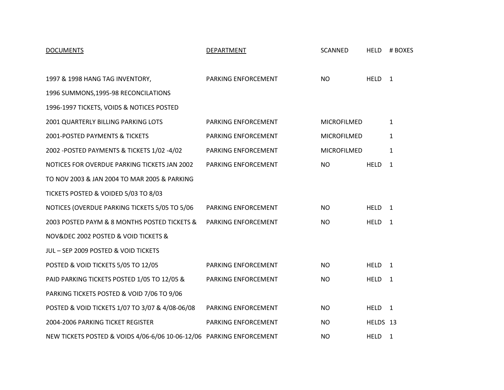| <b>DOCUMENTS</b>                              | DEPARTMENT                 | <b>SCANNED</b> | <b>HELD</b>       | # BOXES        |
|-----------------------------------------------|----------------------------|----------------|-------------------|----------------|
|                                               |                            |                |                   |                |
| POLCIE ENTRY LEVEL APPLIC PROM TESTING        | <b>HR</b>                  | <b>NO</b>      | HELD <sub>1</sub> |                |
| 1999 W/S PHYSICAL INVENTORY                   | <b>INTERNAL AUDITOR</b>    | <b>NO</b>      | <b>HELD</b>       | 1              |
| 2000 & 2001 PHYSICAL INVENTORY SHOP, PUR, W/S | <b>INTERNAL AUDITOR</b>    | <b>NO</b>      | <b>HELD</b>       | 1              |
| 2000 RECONCILED & ADJUSTMENT INVENTORY        | <b>INTERNAL AUDITOR</b>    | <b>NO</b>      | <b>HELD</b>       | 1              |
| <b>2001 INVENTORY TRANSACTIONS</b>            | <b>INTERNAL AUDITOR</b>    | <b>NO</b>      | <b>HELD</b>       | 2              |
| 2001 & 02 DEPRECIATION INVEN & SHOP PHY INVEN | <b>INTERNAL AUDITOR</b>    | <b>NO</b>      | <b>HELD</b>       | $\overline{2}$ |
| 2001 FIXED ASSEST CHARGES & W/S PHY INVEN     | <b>INTERNAL AUDITOR</b>    | <b>NO</b>      | <b>HELD</b>       | $\mathbf{1}$   |
| 2001 & 2002 WAREHOUSE INVENTORY ADJUST &      | <b>INTERNAL AUDITOR</b>    | <b>NO</b>      | <b>HELD</b>       | 1              |
| 2001 & 2003 INVENTORY RECONCILIATION          | <b>INTERNAL AUDITOR</b>    | <b>NO</b>      | <b>HELD</b>       | 1              |
| 12/00 -6/01 INVENTORY COST REPORT,            | <b>INTERNAL AUDITOR</b>    | <b>NO</b>      | <b>HELD</b>       | 1              |
| 2002 INVENTORY WORK SHEET-500-900             | <b>INTERNAL AUDITOR</b>    | <b>NO</b>      | <b>HELD</b>       | $\mathbf{1}$   |
| W/S OCT 2003 INVENTORY &                      | <b>INTERNAL AUDITOR</b>    | <b>NO</b>      | <b>HELD</b>       | $\mathbf{1}$   |
| PHYSICAL INVENTORY 10/03 TO 12/03             |                            |                |                   |                |
| <b>2006 WAREHOUSE INVENTORY</b>               | <b>INTERNAL AUDITOR</b>    | <b>NO</b>      | <b>HELD</b>       | $\mathbf{1}$   |
| 1/1899-5/31/98 PURGED TICKET PD STATUS        | PARKING ENFORCEMENT        | <b>NO</b>      | <b>HELD</b>       | $\mathbf{1}$   |
| NEW TICKETS POSTED & VOID & PAID TICKETS &    | <b>PARKING ENFORCEMENT</b> | <b>NO</b>      | <b>HELD</b>       | $\mathbf{1}$   |
| NEW TICKETS POSTED 1/01-4/01 & 8/01-10/01     |                            |                |                   |                |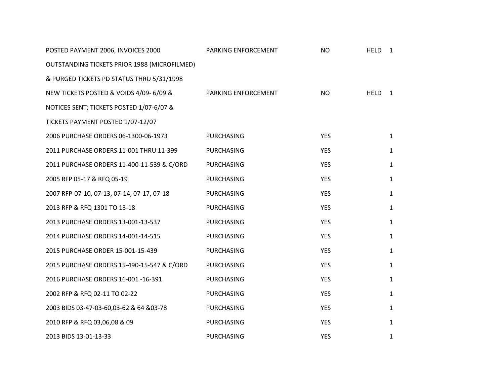| <b>DOCUMENTS</b>                                                     | <b>DEPARTMENT</b>   | <b>SCANNED</b> | <b>HELD</b>       | # BOXES        |
|----------------------------------------------------------------------|---------------------|----------------|-------------------|----------------|
|                                                                      |                     |                |                   |                |
| 1997 & 1998 HANG TAG INVENTORY,                                      | PARKING ENFORCEMENT | NO             | <b>HELD</b>       | $\mathbf{1}$   |
| 1996 SUMMONS, 1995-98 RECONCILATIONS                                 |                     |                |                   |                |
| 1996-1997 TICKETS, VOIDS & NOTICES POSTED                            |                     |                |                   |                |
| 2001 QUARTERLY BILLING PARKING LOTS                                  | PARKING ENFORCEMENT | MICROFILMED    |                   | $\mathbf{1}$   |
| 2001-POSTED PAYMENTS & TICKETS                                       | PARKING ENFORCEMENT | MICROFILMED    |                   | $\mathbf{1}$   |
| 2002 - POSTED PAYMENTS & TICKETS 1/02 - 4/02                         | PARKING ENFORCEMENT | MICROFILMED    |                   | $\mathbf{1}$   |
| NOTICES FOR OVERDUE PARKING TICKETS JAN 2002                         | PARKING ENFORCEMENT | <b>NO</b>      | <b>HELD</b>       | $\mathbf{1}$   |
| TO NOV 2003 & JAN 2004 TO MAR 2005 & PARKING                         |                     |                |                   |                |
| TICKETS POSTED & VOIDED 5/03 TO 8/03                                 |                     |                |                   |                |
| NOTICES (OVERDUE PARKING TICKETS 5/05 TO 5/06                        | PARKING ENFORCEMENT | NO.            | HELD <sub>1</sub> |                |
| 2003 POSTED PAYM & 8 MONTHS POSTED TICKETS &                         | PARKING ENFORCEMENT | <b>NO</b>      | <b>HELD</b>       | $\overline{1}$ |
| NOV& DEC 2002 POSTED & VOID TICKETS &                                |                     |                |                   |                |
| JUL - SEP 2009 POSTED & VOID TICKETS                                 |                     |                |                   |                |
| POSTED & VOID TICKETS 5/05 TO 12/05                                  | PARKING ENFORCEMENT | <b>NO</b>      | <b>HELD</b>       | 1              |
| PAID PARKING TICKETS POSTED 1/05 TO 12/05 &                          | PARKING ENFORCEMENT | <b>NO</b>      | <b>HELD</b>       | $\mathbf{1}$   |
| PARKING TICKETS POSTED & VOID 7/06 TO 9/06                           |                     |                |                   |                |
| POSTED & VOID TICKETS 1/07 TO 3/07 & 4/08-06/08                      | PARKING ENFORCEMENT | <b>NO</b>      | HELD <sub>1</sub> |                |
| 2004-2006 PARKING TICKET REGISTER                                    | PARKING ENFORCEMENT | <b>NO</b>      | HELDS 13          |                |
| NEW TICKETS POSTED & VOIDS 4/06-6/06 10-06-12/06 PARKING ENFORCEMENT |                     | <b>NO</b>      | <b>HELD</b>       | 1              |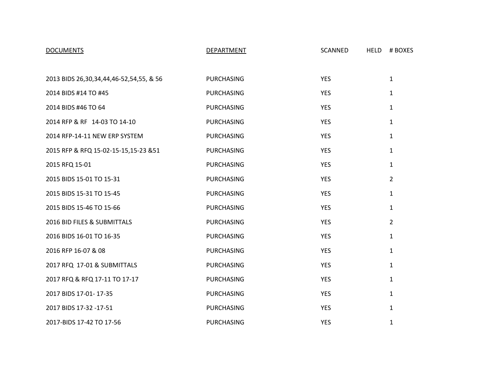| POSTED PAYMENT 2006, INVOICES 2000           | PARKING ENFORCEMENT | <b>NO</b>  | <b>HELD</b> | 1            |
|----------------------------------------------|---------------------|------------|-------------|--------------|
| OUTSTANDING TICKETS PRIOR 1988 (MICROFILMED) |                     |            |             |              |
| & PURGED TICKETS PD STATUS THRU 5/31/1998    |                     |            |             |              |
| NEW TICKETS POSTED & VOIDS 4/09-6/09 &       | PARKING ENFORCEMENT | <b>NO</b>  | <b>HELD</b> | 1            |
| NOTICES SENT; TICKETS POSTED 1/07-6/07 &     |                     |            |             |              |
| TICKETS PAYMENT POSTED 1/07-12/07            |                     |            |             |              |
| 2006 PURCHASE ORDERS 06-1300-06-1973         | <b>PURCHASING</b>   | <b>YES</b> |             | $\mathbf{1}$ |
| 2011 PURCHASE ORDERS 11-001 THRU 11-399      | PURCHASING          | <b>YES</b> |             | $\mathbf{1}$ |
| 2011 PURCHASE ORDERS 11-400-11-539 & C/ORD   | PURCHASING          | <b>YES</b> |             | $\mathbf{1}$ |
| 2005 RFP 05-17 & RFQ 05-19                   | <b>PURCHASING</b>   | <b>YES</b> |             | $\mathbf{1}$ |
| 2007 RFP-07-10, 07-13, 07-14, 07-17, 07-18   | <b>PURCHASING</b>   | <b>YES</b> |             | $\mathbf 1$  |
| 2013 RFP & RFQ 1301 TO 13-18                 | <b>PURCHASING</b>   | <b>YES</b> |             | $\mathbf{1}$ |
| 2013 PURCHASE ORDERS 13-001-13-537           | PURCHASING          | <b>YES</b> |             | $\mathbf{1}$ |
| 2014 PURCHASE ORDERS 14-001-14-515           | <b>PURCHASING</b>   | <b>YES</b> |             | $\mathbf{1}$ |
| 2015 PURCHASE ORDER 15-001-15-439            | <b>PURCHASING</b>   | <b>YES</b> |             | $\mathbf{1}$ |
| 2015 PURCHASE ORDERS 15-490-15-547 & C/ORD   | <b>PURCHASING</b>   | <b>YES</b> |             | $\mathbf{1}$ |
| 2016 PURCHASE ORDERS 16-001-16-391           | <b>PURCHASING</b>   | <b>YES</b> |             | $\mathbf{1}$ |
| 2002 RFP & RFQ 02-11 TO 02-22                | <b>PURCHASING</b>   | <b>YES</b> |             | $\mathbf{1}$ |
| 2003 BIDS 03-47-03-60,03-62 & 64 & 03-78     | <b>PURCHASING</b>   | <b>YES</b> |             | $\mathbf{1}$ |
| 2010 RFP & RFQ 03,06,08 & 09                 | PURCHASING          | <b>YES</b> |             | $\mathbf{1}$ |
| 2013 BIDS 13-01-13-33                        | <b>PURCHASING</b>   | <b>YES</b> |             | $\mathbf{1}$ |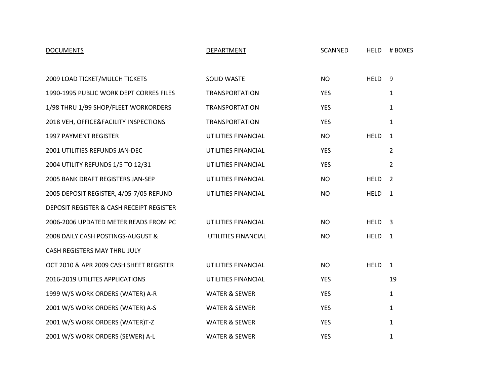| <b>DOCUMENTS</b>                        | <b>DEPARTMENT</b> | SCANNED    | <b>HELD</b> | # BOXES        |
|-----------------------------------------|-------------------|------------|-------------|----------------|
|                                         |                   |            |             |                |
| 2013 BIDS 26,30,34,44,46-52,54,55, & 56 | <b>PURCHASING</b> | <b>YES</b> |             | $\mathbf{1}$   |
| 2014 BIDS #14 TO #45                    | <b>PURCHASING</b> | <b>YES</b> |             | $\mathbf{1}$   |
| 2014 BIDS #46 TO 64                     | <b>PURCHASING</b> | <b>YES</b> |             | $\mathbf{1}$   |
| 2014 RFP & RF 14-03 TO 14-10            | <b>PURCHASING</b> | <b>YES</b> |             | $\mathbf{1}$   |
| 2014 RFP-14-11 NEW ERP SYSTEM           | <b>PURCHASING</b> | <b>YES</b> |             | 1              |
| 2015 RFP & RFQ 15-02-15-15,15-23 &51    | <b>PURCHASING</b> | <b>YES</b> |             | 1              |
| 2015 RFQ 15-01                          | <b>PURCHASING</b> | <b>YES</b> |             | $\mathbf{1}$   |
| 2015 BIDS 15-01 TO 15-31                | <b>PURCHASING</b> | <b>YES</b> |             | $\overline{2}$ |
| 2015 BIDS 15-31 TO 15-45                | <b>PURCHASING</b> | YES        |             | 1              |
| 2015 BIDS 15-46 TO 15-66                | <b>PURCHASING</b> | <b>YES</b> |             | $\mathbf{1}$   |
| 2016 BID FILES & SUBMITTALS             | <b>PURCHASING</b> | <b>YES</b> |             | $\overline{2}$ |
| 2016 BIDS 16-01 TO 16-35                | <b>PURCHASING</b> | <b>YES</b> |             | $\mathbf{1}$   |
| 2016 RFP 16-07 & 08                     | <b>PURCHASING</b> | <b>YES</b> |             | $\mathbf{1}$   |
| 2017 RFQ 17-01 & SUBMITTALS             | PURCHASING        | YES        |             | $\mathbf{1}$   |
| 2017 RFQ & RFQ 17-11 TO 17-17           | <b>PURCHASING</b> | <b>YES</b> |             | $\mathbf{1}$   |
| 2017 BIDS 17-01-17-35                   | <b>PURCHASING</b> | <b>YES</b> |             | $\mathbf{1}$   |
| 2017 BIDS 17-32 -17-51                  | <b>PURCHASING</b> | <b>YES</b> |             | $\mathbf{1}$   |
| 2017-BIDS 17-42 TO 17-56                | <b>PURCHASING</b> | <b>YES</b> |             | $\mathbf{1}$   |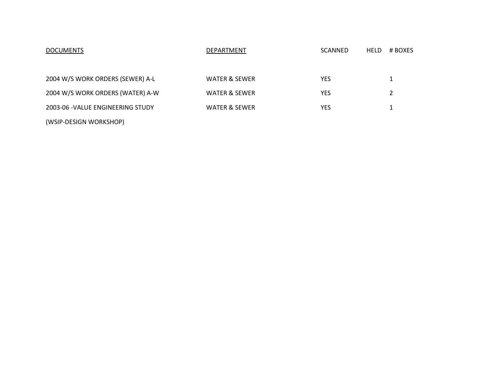| <b>DOCUMENTS</b>                         | DEPARTMENT               | <b>SCANNED</b> | <b>HELD</b> | # BOXES        |
|------------------------------------------|--------------------------|----------------|-------------|----------------|
|                                          |                          |                |             |                |
| 2009 LOAD TICKET/MULCH TICKETS           | SOLID WASTE              | <b>NO</b>      | <b>HELD</b> | 9              |
| 1990-1995 PUBLIC WORK DEPT CORRES FILES  | <b>TRANSPORTATION</b>    | <b>YES</b>     |             | $\mathbf{1}$   |
| 1/98 THRU 1/99 SHOP/FLEET WORKORDERS     | <b>TRANSPORTATION</b>    | <b>YES</b>     |             | 1              |
| 2018 VEH, OFFICE&FACILITY INSPECTIONS    | <b>TRANSPORTATION</b>    | <b>YES</b>     |             | 1              |
| 1997 PAYMENT REGISTER                    | UTILITIES FINANCIAL      | <b>NO</b>      | <b>HELD</b> | $\mathbf{1}$   |
| 2001 UTILITIES REFUNDS JAN-DEC           | UTILITIES FINANCIAL      | <b>YES</b>     |             | $\overline{2}$ |
| 2004 UTILITY REFUNDS 1/5 TO 12/31        | UTILITIES FINANCIAL      | <b>YES</b>     |             | $\overline{2}$ |
| 2005 BANK DRAFT REGISTERS JAN-SEP        | UTILITIES FINANCIAL      | <b>NO</b>      | <b>HELD</b> | $\overline{2}$ |
| 2005 DEPOSIT REGISTER, 4/05-7/05 REFUND  | UTILITIES FINANCIAL      | <b>NO</b>      | <b>HELD</b> | $\mathbf{1}$   |
| DEPOSIT REGISTER & CASH RECEIPT REGISTER |                          |                |             |                |
| 2006-2006 UPDATED METER READS FROM PC    | UTILITIES FINANCIAL      | <b>NO</b>      | <b>HELD</b> | $\overline{3}$ |
| 2008 DAILY CASH POSTINGS-AUGUST &        | UTILITIES FINANCIAL      | <b>NO</b>      | <b>HELD</b> | $\mathbf{1}$   |
| CASH REGISTERS MAY THRU JULY             |                          |                |             |                |
| OCT 2010 & APR 2009 CASH SHEET REGISTER  | UTILITIES FINANCIAL      | NO             | <b>HELD</b> | $\mathbf{1}$   |
| 2016-2019 UTILITES APPLICATIONS          | UTILITIES FINANCIAL      | <b>YES</b>     |             | 19             |
| 1999 W/S WORK ORDERS (WATER) A-R         | <b>WATER &amp; SEWER</b> | <b>YES</b>     |             | $\mathbf{1}$   |
| 2001 W/S WORK ORDERS (WATER) A-S         | <b>WATER &amp; SEWER</b> | <b>YES</b>     |             | $\mathbf{1}$   |
| 2001 W/S WORK ORDERS (WATER)T-Z          | <b>WATER &amp; SEWER</b> | <b>YES</b>     |             | 1              |
| 2001 W/S WORK ORDERS (SEWER) A-L         | <b>WATER &amp; SEWER</b> | <b>YES</b>     |             | $\mathbf{1}$   |